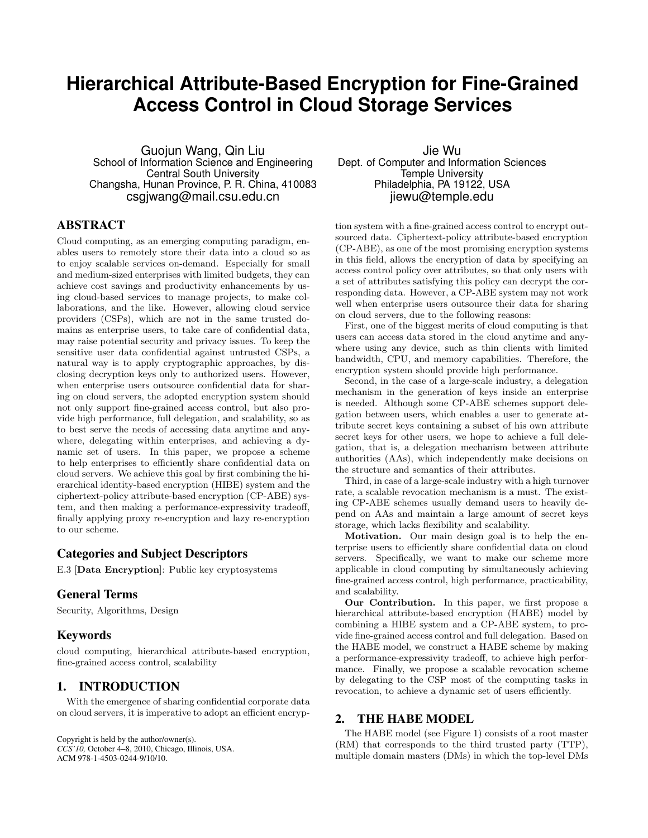# **Hierarchical Attribute-Based Encryption for Fine-Grained Access Control in Cloud Storage Services**

Guojun Wang, Qin Liu School of Information Science and Engineering Central South University Changsha, Hunan Province, P. R. China, 410083 csgjwang@mail.csu.edu.cn

# ABSTRACT

Cloud computing, as an emerging computing paradigm, enables users to remotely store their data into a cloud so as to enjoy scalable services on-demand. Especially for small and medium-sized enterprises with limited budgets, they can achieve cost savings and productivity enhancements by using cloud-based services to manage projects, to make collaborations, and the like. However, allowing cloud service providers (CSPs), which are not in the same trusted domains as enterprise users, to take care of confidential data, may raise potential security and privacy issues. To keep the sensitive user data confidential against untrusted CSPs, a natural way is to apply cryptographic approaches, by disclosing decryption keys only to authorized users. However, when enterprise users outsource confidential data for sharing on cloud servers, the adopted encryption system should not only support fine-grained access control, but also provide high performance, full delegation, and scalability, so as to best serve the needs of accessing data anytime and anywhere, delegating within enterprises, and achieving a dynamic set of users. In this paper, we propose a scheme to help enterprises to efficiently share confidential data on cloud servers. We achieve this goal by first combining the hierarchical identity-based encryption (HIBE) system and the ciphertext-policy attribute-based encryption (CP-ABE) system, and then making a performance-expressivity tradeoff, finally applying proxy re-encryption and lazy re-encryption to our scheme.

# Categories and Subject Descriptors

E.3 [**Data Encryption**]: Public key cryptosystems

## General Terms

Security, Algorithms, Design

#### Keywords

cloud computing, hierarchical attribute-based encryption, fine-grained access control, scalability

# 1. INTRODUCTION

With the emergence of sharing confidential corporate data on cloud servers, it is imperative to adopt an efficient encryp-

Copyright is held by the author/owner(s). *CCS'10,* October 4–8, 2010, Chicago, Illinois, USA. ACM 978-1-4503-0244-9/10/10.

Jie Wu Dept. of Computer and Information Sciences Temple University Philadelphia, PA 19122, USA jiewu@temple.edu

tion system with a fine-grained access control to encrypt outsourced data. Ciphertext-policy attribute-based encryption (CP-ABE), as one of the most promising encryption systems in this field, allows the encryption of data by specifying an access control policy over attributes, so that only users with a set of attributes satisfying this policy can decrypt the corresponding data. However, a CP-ABE system may not work well when enterprise users outsource their data for sharing on cloud servers, due to the following reasons:

First, one of the biggest merits of cloud computing is that users can access data stored in the cloud anytime and anywhere using any device, such as thin clients with limited bandwidth, CPU, and memory capabilities. Therefore, the encryption system should provide high performance.

Second, in the case of a large-scale industry, a delegation mechanism in the generation of keys inside an enterprise is needed. Although some CP-ABE schemes support delegation between users, which enables a user to generate attribute secret keys containing a subset of his own attribute secret keys for other users, we hope to achieve a full delegation, that is, a delegation mechanism between attribute authorities (AAs), which independently make decisions on the structure and semantics of their attributes.

Third, in case of a large-scale industry with a high turnover rate, a scalable revocation mechanism is a must. The existing CP-ABE schemes usually demand users to heavily depend on AAs and maintain a large amount of secret keys storage, which lacks flexibility and scalability.

**Motivation.** Our main design goal is to help the enterprise users to efficiently share confidential data on cloud servers. Specifically, we want to make our scheme more applicable in cloud computing by simultaneously achieving fine-grained access control, high performance, practicability, and scalability.

**Our Contribution.** In this paper, we first propose a hierarchical attribute-based encryption (HABE) model by combining a HIBE system and a CP-ABE system, to provide fine-grained access control and full delegation. Based on the HABE model, we construct a HABE scheme by making a performance-expressivity tradeoff, to achieve high performance. Finally, we propose a scalable revocation scheme by delegating to the CSP most of the computing tasks in revocation, to achieve a dynamic set of users efficiently.

# 2. THE HABE MODEL

The HABE model (see Figure 1) consists of a root master (RM) that corresponds to the third trusted party (TTP), multiple domain masters (DMs) in which the top-level DMs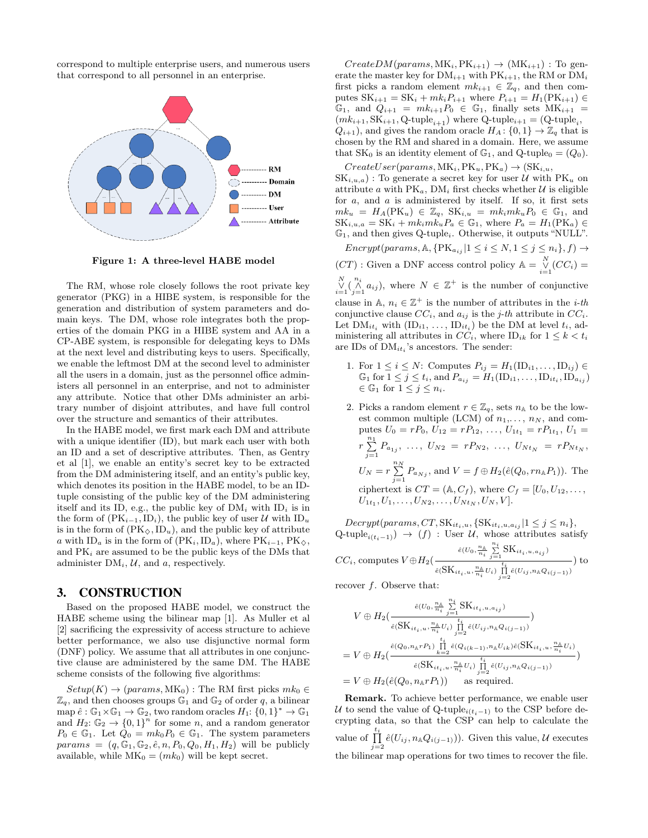correspond to multiple enterprise users, and numerous users that correspond to all personnel in an enterprise.



**Figure 1: A three-level HABE model**

The RM, whose role closely follows the root private key generator (PKG) in a HIBE system, is responsible for the generation and distribution of system parameters and domain keys. The DM, whose role integrates both the properties of the domain PKG in a HIBE system and AA in a CP-ABE system, is responsible for delegating keys to DMs at the next level and distributing keys to users. Specifically, we enable the leftmost DM at the second level to administer all the users in a domain, just as the personnel office administers all personnel in an enterprise, and not to administer any attribute. Notice that other DMs administer an arbitrary number of disjoint attributes, and have full control over the structure and semantics of their attributes.

In the HABE model, we first mark each DM and attribute with a unique identifier (ID), but mark each user with both an ID and a set of descriptive attributes. Then, as Gentry et al [1], we enable an entity's secret key to be extracted from the DM administering itself, and an entity's public key, which denotes its position in the HABE model, to be an IDtuple consisting of the public key of the DM administering itself and its ID, e.g., the public key of  $DM_i$  with  $ID_i$  is in the form of  $(\text{PK}_{i-1}, \text{ID}_i)$ , the public key of user *U* with  $\text{ID}_u$ is in the form of  $(PK_{\diamondsuit}, ID_u)$ , and the public key of attribute *a* with ID<sub>*a*</sub> is in the form of (PK<sub>*i*</sub></sub>,ID<sub>*a*</sub>), where PK<sub>*i*−1</sub>, PK<sub> $\diamond$ </sub>, and PK*<sup>i</sup>* are assumed to be the public keys of the DMs that administer DM*i*, *U*, and *a*, respectively.

## 3. CONSTRUCTION

Based on the proposed HABE model, we construct the HABE scheme using the bilinear map [1]. As Muller et al [2] sacrificing the expressivity of access structure to achieve better performance, we also use disjunctive normal form (DNF) policy. We assume that all attributes in one conjunctive clause are administered by the same DM. The HABE scheme consists of the following five algorithms:

 $Setup(K) \rightarrow (params, MK_0)$ : The RM first picks  $mk_0 \in$  $\mathbb{Z}_q$ , and then chooses groups  $\mathbb{G}_1$  and  $\mathbb{G}_2$  of order q, a bilinear  $\text{map } \hat{e}: \mathbb{G}_1 \times \mathbb{G}_1 \to \mathbb{G}_2$ , two random oracles  $H_1: \{0,1\}^* \to \mathbb{G}_1$ and  $H_2: \mathbb{G}_2 \to \{0,1\}^n$  for some *n*, and a random generator  $P_0 \in \mathbb{G}_1$ . Let  $Q_0 = mk_0 P_0 \in \mathbb{G}_1$ . The system parameters  $params = (q, \mathbb{G}_1, \mathbb{G}_2, \hat{e}, n, P_0, Q_0, H_1, H_2)$  will be publicly available, while  $MK_0 = (mk_0)$  will be kept secret.

 $CreateDM(params, MK_i, PK_{i+1}) \rightarrow (MK_{i+1})$ : To generate the master key for  $DM_{i+1}$  with  $PK_{i+1}$ , the RM or  $DM_i$ first picks a random element  $mk_{i+1} \in \mathbb{Z}_q$ , and then computes  $SK_{i+1} = SK_i + mk_i P_{i+1}$  where  $P_{i+1} = H_1(PK_{i+1}) \in$  $\mathbb{G}_1$ , and  $Q_{i+1} = mk_{i+1}P_0 \in \mathbb{G}_1$ , finally sets  $MK_{i+1} =$  $(mk_{i+1}, \text{SK}_{i+1}, \text{Q-tuple}_{i+1})$  where  $\text{Q-tuple}_{i+1} = (\text{Q-tuple}_{i}, \text{Q-tuple}_{i+1})$  $Q_{i+1}$ , and gives the random oracle  $H_A: \{0, 1\} \to \mathbb{Z}_q$  that is chosen by the RM and shared in a domain. Here, we assume that  $SK_0$  is an identity element of  $\mathbb{G}_1$ , and  $Q$ -tuple<sub>0</sub> =  $(Q_0)$ .

 $CreateUser(params, MK_i, PK_u, PK_a) \rightarrow (SK_{i,u},$  $SK_{i,u,a}$ ) : To generate a secret key for user *U* with  $PK_u$  on attribute *a* with  $PK_a$ ,  $DM_i$  first checks whether *U* is eligible for *a*, and *a* is administered by itself. If so, it first sets  $mk_u = H_A(PK_u) \in \mathbb{Z}_q$ ,  $SK_{i,u} = mk_i mk_u P_0 \in \mathbb{G}_1$ , and  $SK_{i,u,a} = SK_i + mk_i mk_uP_a \in \mathbb{G}_1$ , where  $P_a = H_1(PK_a) \in$ G1, and then gives Q-tuple*i*. Otherwise, it outputs "NULL".

*Encrypt*( $params, \mathbb{A}, \{ \text{PK}_{a_{ij}} | 1 \leq i \leq N, 1 \leq j \leq n_i \}, f) \rightarrow$  $(CT)$ : Given a DNF access control policy  $\mathbb{A} = \bigvee_{i=1}^{N} (CC_i) =$  $\bigvee_{i=1}^{N} \left( \bigwedge_{j=1}^{n_i} a_{ij} \right)$ , where  $N \in \mathbb{Z}^+$  is the number of conjunctive clause in  $\mathbb{A}, n_i \in \mathbb{Z}^+$  is the number of attributes in the *i-th* conjunctive clause  $CC_i$ , and  $a_{ij}$  is the *j*-th attribute in  $CC_i$ . Let  $\text{DM}_{it_i}$  with  $(\text{ID}_{i1}, \ldots, \text{ID}_{it_i})$  be the DM at level  $t_i$ , ad-

ministering all attributes in  $CC_i$ , where  $ID_{ik}$  for  $1 \leq k < t_i$ 

are IDs of DM*it<sup>i</sup>* 's ancestors. The sender:

- 1. For  $1 \le i \le N$ : Computes  $P_{ij} = H_1(\text{ID}_{i1}, \ldots, \text{ID}_{ij}) \in$  $\mathbb{G}_1$  for  $1 \leq j \leq t_i$ , and  $P_{a_{ij}} = H_1(\text{ID}_{i1}, \dots, \text{ID}_{it_i}, \text{ID}_{a_{ij}})$  $∈$  <del> $\mathbb{G}_1$ </del> for  $1 ≤ j ≤ n_i$ .
- 2. Picks a random element  $r \in \mathbb{Z}_q$ , sets  $n_A$  to be the lowest common multiple (LCM) of  $n_1, \ldots, n_N$ , and computes  $U_0 = rP_0$ ,  $U_{12} = rP_{12}$ , ...,  $U_{1t_1} = rP_{1t_1}$ ,  $U_1 =$ *r* ∑*n*1  $\sum_{j=1}^{n} P_{a_{1j}}, \ldots, U_{N2} = rP_{N2}, \ldots, U_{Nt_N} = rP_{Nt_N},$  $U_N = r \sum_{i=1}^{n}$  $\sum_{j=1} P_{a_{Nj}}$ , and  $V = f \oplus H_2(\hat{e}(Q_0, rn_A P_1))$ . The ciphertext is  $CT = (\mathbb{A}, C_f)$ , where  $C_f = [U_0, U_{12}, \ldots,$  $U_{1t_1}, U_1, \ldots, U_{N2}, \ldots, U_{Nt_N}, U_N, V].$

 $Decrypt(params, CT, SK_{it_i,u}, \{SK_{it_i,u}, a_{ij} | 1 \leq j \leq n_i\},$ Q-tuple<sub>*i*( $t_i$ -1)</sub>) → (*f*) : User *U*, whose attributes satisfy

$$
CC_{i}, \text{computes } V \oplus H_{2} \left( \frac{\hat{e}(U_{0}, \frac{n_{\mathbb{A}}}{n_{i}} \sum\limits_{j=1}^{n_{i}} \text{SK}_{it_{i}, u, a_{ij}})}{\hat{e}(\text{SK}_{it_{i}, u}, \frac{n_{\mathbb{A}}}{n_{i}} U_{i}) \prod\limits_{j=2}^{t_{i}} \hat{e}(U_{ij}, n_{\mathbb{A}} Q_{i(j-1)})} \right) \text{ to}
$$

recover *f*. Observe that:

$$
V \oplus H_{2}(\frac{\hat{e}(U_{0}, \frac{n_{k}}{n_{i}} \sum_{j=1}^{n_{i}} SK_{it_{i}, u, a_{ij}})}{\hat{e}(SK_{it_{i}, u}, \frac{n_{k}}{n_{i}} U_{i}) \prod_{j=2}^{t_{i}} \hat{e}(U_{ij}, n_{k} Q_{i(j-1)})}
$$
  
=  $V \oplus H_{2}(\frac{\hat{e}(Q_{0}, n_{k}r P_{1}) \prod_{k=2}^{t_{i}} \hat{e}(Q_{i(k-1)}, n_{k} U_{ik}) \hat{e}(SK_{it_{i}, u}, \frac{n_{k}}{n_{i}} U_{i})}{\hat{e}(SK_{it_{i}, u}, \frac{n_{k}}{n_{i}} U_{i}) \prod_{j=2}^{t_{i}} \hat{e}(U_{ij}, n_{k} Q_{i(j-1)})}$   
=  $V \oplus H_{2}(\hat{e}(Q_{0}, n_{k}r P_{1}))$  as required.

**Remark.** To achieve better performance, we enable user *U* to send the value of Q-tuple<sub>*i*( $t_i$ <sup>*-*</sup>1)</sub> to the CSP before decrypting data, so that the CSP can help to calculate the value of  $\prod_{j=2}^{t_i} \hat{e}(U_{ij}, n_{\mathbb{A}}Q_{i(j-1)}))$ . Given this value,  $\mathcal U$  executes the bilinear map operations for two times to recover the file.